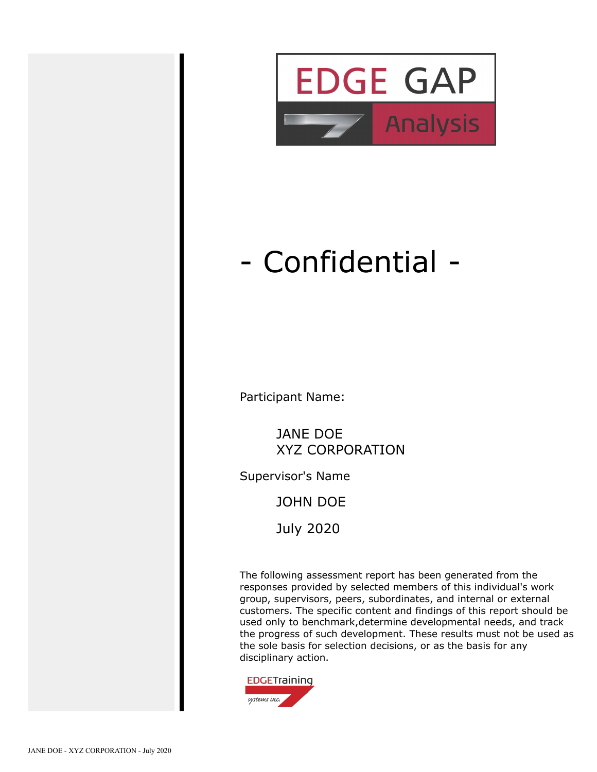

# - Confidential -

Participant Name:

JANE DOE XYZ CORPORATION

Supervisor's Name

JOHN DOE

July 2020

The following assessment report has been generated from the responses provided by selected members of this individual's work group, supervisors, peers, subordinates, and internal or external customers. The specific content and findings of this report should be used only to benchmark,determine developmental needs, and track the progress of such development. These results must not be used as the sole basis for selection decisions, or as the basis for any disciplinary action.

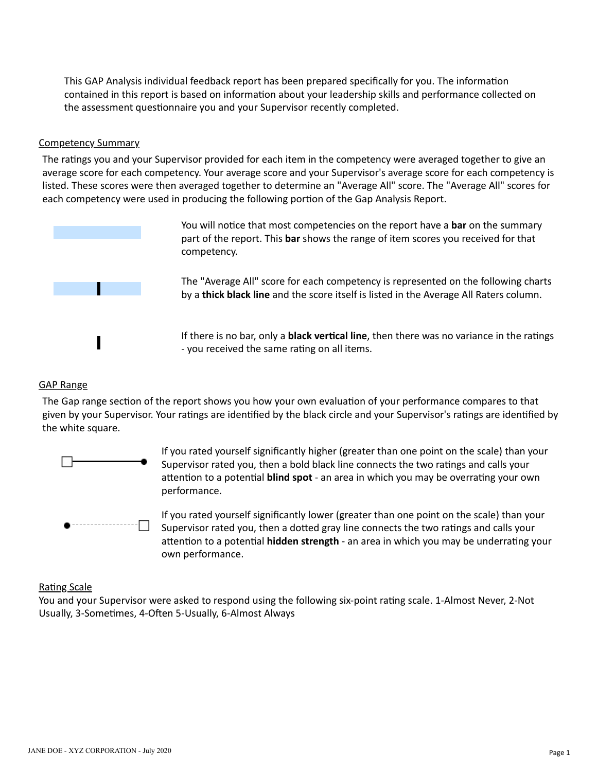This GAP Analysis individual feedback report has been prepared specifically for you. The information contained in this report is based on information about your leadership skills and performance collected on the assessment questionnaire you and your Supervisor recently completed.

#### Competency Summary

The ratings you and your Supervisor provided for each item in the competency were averaged together to give an average score for each competency. Your average score and your Supervisor's average score for each competency is listed. These scores were then averaged together to determine an "Average All" score. The "Average All" scores for each competency were used in producing the following portion of the Gap Analysis Report.



You will notice that most competencies on the report have a bar on the summary part of the report. This **bar** shows the range of item scores you received for that competency.

The "Average All" score for each competency is represented on the following charts by a **thick black line** and the score itself is listed in the Average All Raters column.

If there is no bar, only a **black vertical line**, then there was no variance in the ratings - you received the same rating on all items.

#### GAP Range

The Gap range section of the report shows you how your own evaluation of your performance compares to that given by your Supervisor. Your ratings are identified by the black circle and your Supervisor's ratings are identified by the white square.



If you rated yourself significantly higher (greater than one point on the scale) than your Supervisor rated you, then a bold black line connects the two ratings and calls your attention to a potential **blind spot** - an area in which you may be overrating your own performance.

If you rated yourself significantly lower (greater than one point on the scale) than your Supervisor rated you, then a dotted gray line connects the two ratings and calls your attention to a potential **hidden strength** - an area in which you may be underrating your own performance.

#### **Rating Scale**

You and your Supervisor were asked to respond using the following six-point rating scale. 1-Almost Never, 2-Not Usually, 3-Sometimes, 4-Often 5-Usually, 6-Almost Always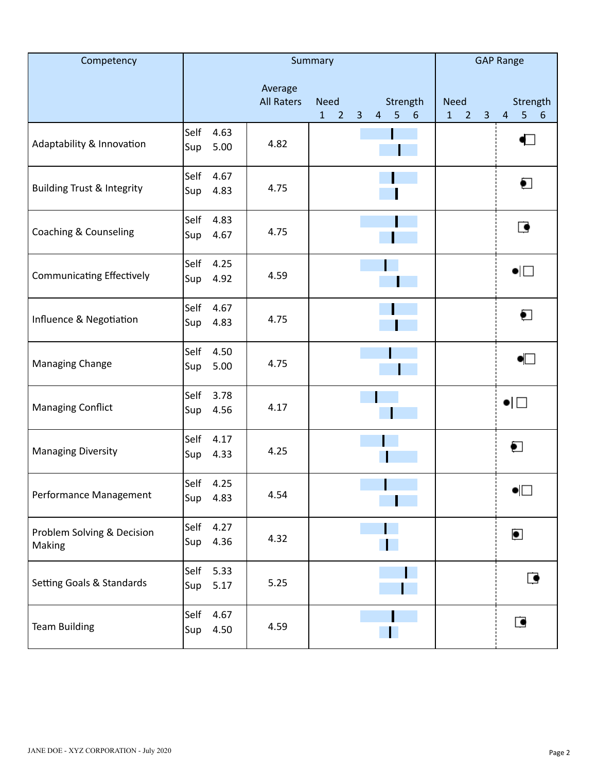| Competency                            |                             | Summary                      | <b>GAP Range</b>                                                                                                 |                                                                 |                                                            |  |  |
|---------------------------------------|-----------------------------|------------------------------|------------------------------------------------------------------------------------------------------------------|-----------------------------------------------------------------|------------------------------------------------------------|--|--|
|                                       |                             | Average<br><b>All Raters</b> | <b>Need</b><br>Strength<br>4 <sub>5</sub><br>3 <sup>1</sup><br>$6\phantom{1}6$<br>$\mathbf{1}$<br>$\overline{2}$ | <b>Need</b><br>$\overline{2}$<br>$\mathbf{1}$<br>$\overline{3}$ | Strength<br>$\overline{\mathbf{4}}$<br>$\overline{5}$<br>6 |  |  |
| Adaptability & Innovation             | Self<br>4.63<br>5.00<br>Sup | 4.82                         |                                                                                                                  |                                                                 | $\blacksquare$                                             |  |  |
| <b>Building Trust &amp; Integrity</b> | Self<br>4.67<br>4.83<br>Sup | 4.75                         |                                                                                                                  |                                                                 | $\bullet$                                                  |  |  |
| Coaching & Counseling                 | Self<br>4.83<br>Sup<br>4.67 | 4.75                         |                                                                                                                  |                                                                 | $\blacksquare$                                             |  |  |
| <b>Communicating Effectively</b>      | Self<br>4.25<br>4.92<br>Sup | 4.59                         |                                                                                                                  |                                                                 | $\bullet$ $\Box$                                           |  |  |
| Influence & Negotiation               | Self<br>4.67<br>4.83<br>Sup | 4.75                         |                                                                                                                  |                                                                 | ◐                                                          |  |  |
| Managing Change                       | Self<br>4.50<br>5.00<br>Sup | 4.75                         |                                                                                                                  |                                                                 | $\bullet \Box$                                             |  |  |
| <b>Managing Conflict</b>              | Self<br>3.78<br>Sup<br>4.56 | 4.17                         |                                                                                                                  |                                                                 | $\bullet$ $\Box$                                           |  |  |
| <b>Managing Diversity</b>             | Self<br>4.17<br>4.33<br>Sup | 4.25                         |                                                                                                                  |                                                                 | $\bullet$                                                  |  |  |
| Performance Management                | Self<br>4.25<br>4.83<br>Sup | 4.54                         |                                                                                                                  |                                                                 | $\bullet \Box$                                             |  |  |
| Problem Solving & Decision<br>Making  | Self<br>4.27<br>4.36<br>Sup | 4.32                         |                                                                                                                  |                                                                 | $\bullet$                                                  |  |  |
| Setting Goals & Standards             | Self<br>5.33<br>Sup<br>5.17 | 5.25                         |                                                                                                                  |                                                                 | $\blacksquare$                                             |  |  |
| <b>Team Building</b>                  | 4.67<br>Self<br>Sup<br>4.50 | 4.59                         |                                                                                                                  |                                                                 | $\bullet$                                                  |  |  |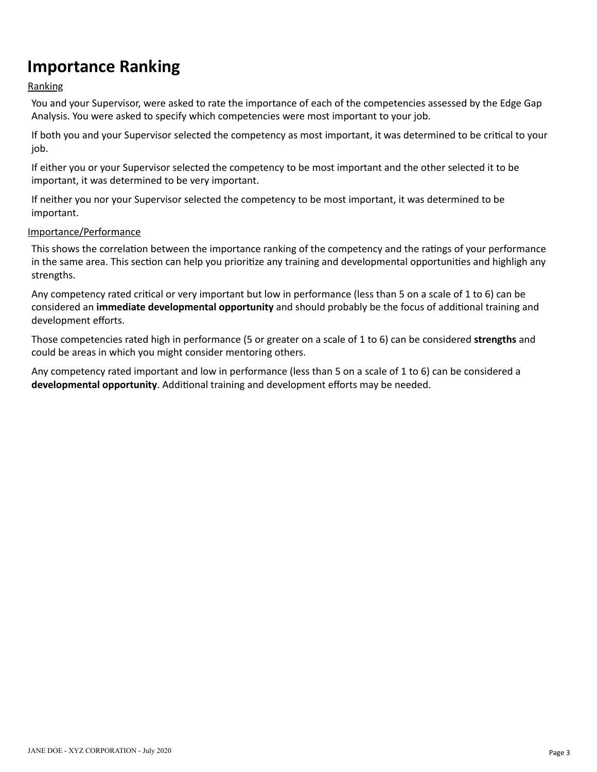### **Importance Ranking**

### Ranking

You and your Supervisor, were asked to rate the importance of each of the competencies assessed by the Edge Gap Analysis. You were asked to specify which competencies were most important to your job.

If both you and your Supervisor selected the competency as most important, it was determined to be critical to your job.

If either you or your Supervisor selected the competency to be most important and the other selected it to be important, it was determined to be very important.

If neither you nor your Supervisor selected the competency to be most important, it was determined to be important.

#### Importance/Performance

This shows the correlation between the importance ranking of the competency and the ratings of your performance in the same area. This section can help you prioritize any training and developmental opportunities and highligh any strengths.

Any competency rated critical or very important but low in performance (less than 5 on a scale of 1 to 6) can be considered an *immediate developmental opportunity* and should probably be the focus of additional training and development efforts.

Those competencies rated high in performance (5 or greater on a scale of 1 to 6) can be considered **strengths** and could be areas in which you might consider mentoring others.

Any competency rated important and low in performance (less than 5 on a scale of 1 to 6) can be considered a developmental opportunity. Additional training and development efforts may be needed.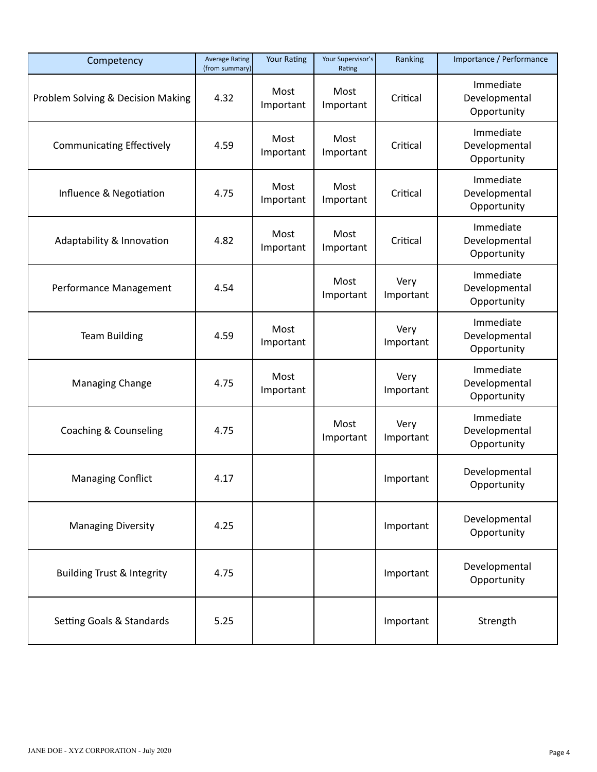| Competency                            | <b>Average Rating</b><br>(from summary) | <b>Your Rating</b> | Your Supervisor's<br>Rating | Ranking           | Importance / Performance                  |
|---------------------------------------|-----------------------------------------|--------------------|-----------------------------|-------------------|-------------------------------------------|
| Problem Solving & Decision Making     | 4.32                                    | Most<br>Important  | Most<br>Important           | Critical          | Immediate<br>Developmental<br>Opportunity |
| <b>Communicating Effectively</b>      | 4.59                                    | Most<br>Important  | Most<br>Important           | Critical          | Immediate<br>Developmental<br>Opportunity |
| Influence & Negotiation               | 4.75                                    | Most<br>Important  | Most<br>Important           | Critical          | Immediate<br>Developmental<br>Opportunity |
| Adaptability & Innovation             | 4.82                                    | Most<br>Important  | Most<br>Important           | Critical          | Immediate<br>Developmental<br>Opportunity |
| Performance Management                | 4.54                                    |                    | Most<br>Important           | Very<br>Important | Immediate<br>Developmental<br>Opportunity |
| <b>Team Building</b>                  | 4.59                                    | Most<br>Important  |                             | Very<br>Important | Immediate<br>Developmental<br>Opportunity |
| <b>Managing Change</b>                | 4.75                                    | Most<br>Important  |                             | Very<br>Important | Immediate<br>Developmental<br>Opportunity |
| Coaching & Counseling                 | 4.75                                    |                    | Most<br>Important           | Very<br>Important | Immediate<br>Developmental<br>Opportunity |
| <b>Managing Conflict</b>              | 4.17                                    |                    |                             | Important         | Developmental<br>Opportunity              |
| <b>Managing Diversity</b>             | 4.25                                    |                    |                             | Important         | Developmental<br>Opportunity              |
| <b>Building Trust &amp; Integrity</b> | 4.75                                    |                    | Important                   |                   | Developmental<br>Opportunity              |
| Setting Goals & Standards             | 5.25                                    |                    |                             | Important         | Strength                                  |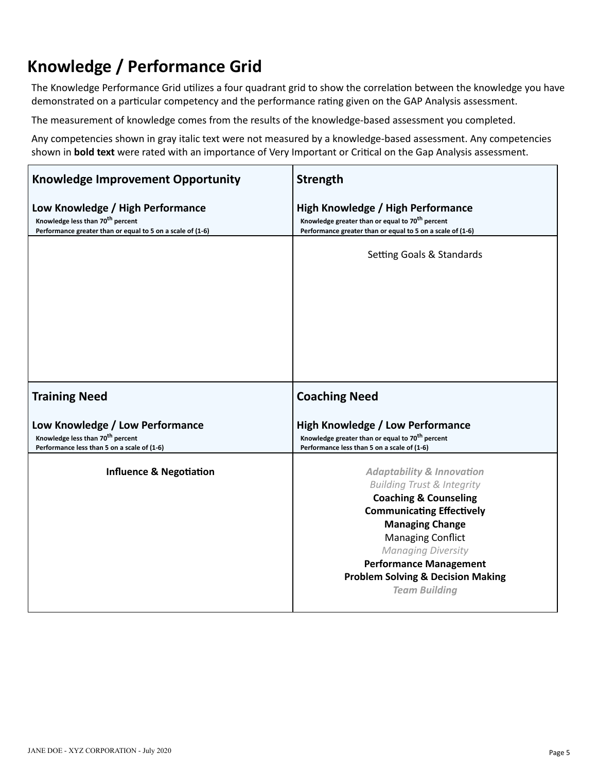### **Knowledge / Performance Grid**

The Knowledge Performance Grid utilizes a four quadrant grid to show the correlation between the knowledge you have demonstrated on a particular competency and the performance rating given on the GAP Analysis assessment.

The measurement of knowledge comes from the results of the knowledge-based assessment you completed.

Any competencies shown in gray italic text were not measured by a knowledge-based assessment. Any competencies shown in **bold text** were rated with an importance of Very Important or Crical on the Gap Analysis assessment.

| <b>Knowledge Improvement Opportunity</b>                                                                                                       | <b>Strength</b>                                                                                                                                                                                                                                                                                                                                   |
|------------------------------------------------------------------------------------------------------------------------------------------------|---------------------------------------------------------------------------------------------------------------------------------------------------------------------------------------------------------------------------------------------------------------------------------------------------------------------------------------------------|
| Low Knowledge / High Performance<br>Knowledge less than 70 <sup>th</sup> percent<br>Performance greater than or equal to 5 on a scale of (1-6) | High Knowledge / High Performance<br>Knowledge greater than or equal to 70 <sup>th</sup> percent<br>Performance greater than or equal to 5 on a scale of (1-6)                                                                                                                                                                                    |
|                                                                                                                                                | Setting Goals & Standards                                                                                                                                                                                                                                                                                                                         |
| <b>Training Need</b>                                                                                                                           | <b>Coaching Need</b>                                                                                                                                                                                                                                                                                                                              |
| Low Knowledge / Low Performance<br>Knowledge less than 70 <sup>th</sup> percent<br>Performance less than 5 on a scale of (1-6)                 | <b>High Knowledge / Low Performance</b><br>Knowledge greater than or equal to 70 <sup>th</sup> percent<br>Performance less than 5 on a scale of (1-6)                                                                                                                                                                                             |
| <b>Influence &amp; Negotiation</b>                                                                                                             | <b>Adaptability &amp; Innovation</b><br><b>Building Trust &amp; Integrity</b><br><b>Coaching &amp; Counseling</b><br><b>Communicating Effectively</b><br><b>Managing Change</b><br><b>Managing Conflict</b><br><b>Managing Diversity</b><br><b>Performance Management</b><br><b>Problem Solving &amp; Decision Making</b><br><b>Team Building</b> |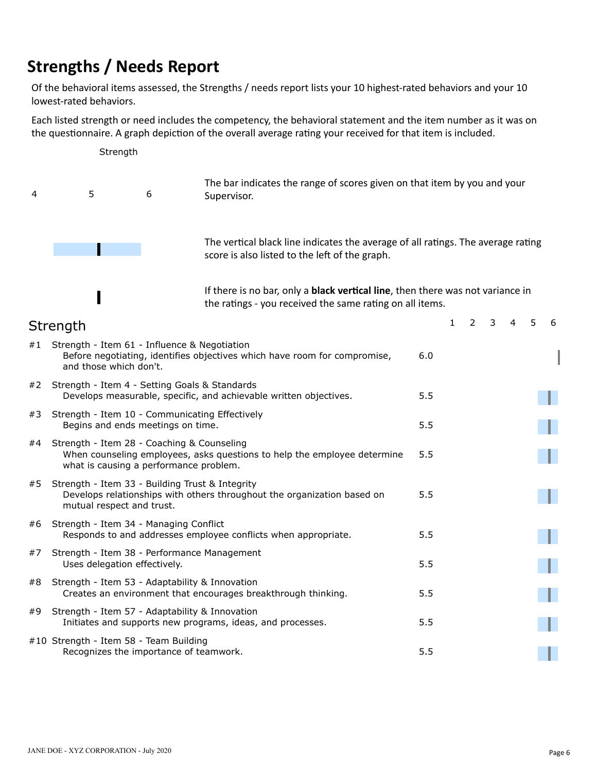### **Strengths / Needs Report**

Ι

Of the behavioral items assessed, the Strengths / needs report lists your 10 highest-rated behaviors and your 10 lowest-rated behaviors.

Each listed strength or need includes the competency, the behavioral statement and the item number as it was on the questionnaire. A graph depiction of the overall average rating your received for that item is included.



If there is no bar, only a **black vertical line**, then there was not variance in the ratings - you received the same rating on all items.

|    | Strength                                                                                                                                                         |     | 1 | 2 | 3 | 5. | 6 |
|----|------------------------------------------------------------------------------------------------------------------------------------------------------------------|-----|---|---|---|----|---|
| #1 | Strength - Item 61 - Influence & Negotiation<br>Before negotiating, identifies objectives which have room for compromise,<br>and those which don't.              | 6.0 |   |   |   |    |   |
| #2 | Strength - Item 4 - Setting Goals & Standards<br>Develops measurable, specific, and achievable written objectives.                                               | 5.5 |   |   |   |    |   |
| #3 | Strength - Item 10 - Communicating Effectively<br>Begins and ends meetings on time.                                                                              | 5.5 |   |   |   |    |   |
| #4 | Strength - Item 28 - Coaching & Counseling<br>When counseling employees, asks questions to help the employee determine<br>what is causing a performance problem. | 5.5 |   |   |   |    |   |
| #5 | Strength - Item 33 - Building Trust & Integrity<br>Develops relationships with others throughout the organization based on<br>mutual respect and trust.          | 5.5 |   |   |   |    |   |
| #6 | Strength - Item 34 - Managing Conflict<br>Responds to and addresses employee conflicts when appropriate.                                                         | 5.5 |   |   |   |    |   |
| #7 | Strength - Item 38 - Performance Management<br>Uses delegation effectively.                                                                                      | 5.5 |   |   |   |    |   |
| #8 | Strength - Item 53 - Adaptability & Innovation<br>Creates an environment that encourages breakthrough thinking.                                                  | 5.5 |   |   |   |    |   |
| #9 | Strength - Item 57 - Adaptability & Innovation<br>Initiates and supports new programs, ideas, and processes.                                                     | 5.5 |   |   |   |    |   |
|    | #10 Strength - Item 58 - Team Building<br>Recognizes the importance of teamwork.                                                                                 | 5.5 |   |   |   |    |   |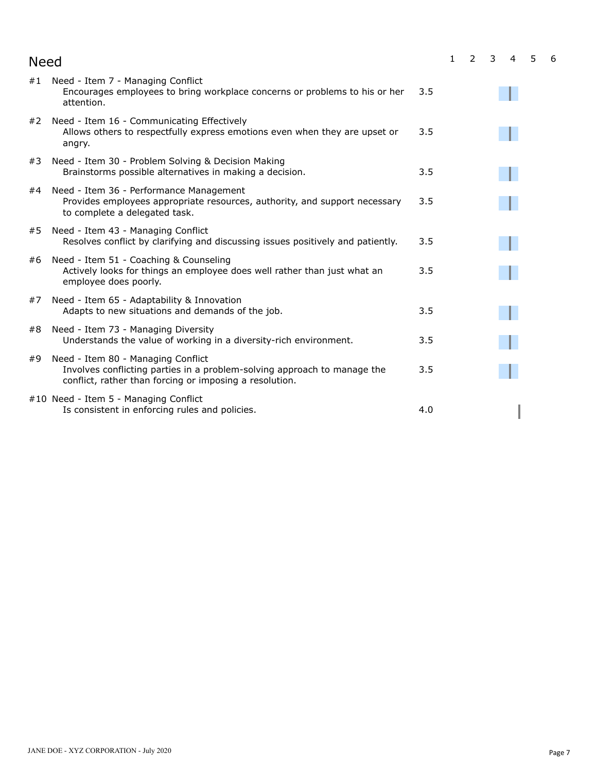| <b>Need</b>                                                                                                                                                                     |     | $\mathbf{1}$ | 2 | 3 | $\overline{4}$ | 5 | 6 |
|---------------------------------------------------------------------------------------------------------------------------------------------------------------------------------|-----|--------------|---|---|----------------|---|---|
| Need - Item 7 - Managing Conflict<br>#1<br>Encourages employees to bring workplace concerns or problems to his or her<br>attention.                                             | 3.5 |              |   |   |                |   |   |
| Need - Item 16 - Communicating Effectively<br>#2<br>Allows others to respectfully express emotions even when they are upset or<br>angry.                                        | 3.5 |              |   |   |                |   |   |
| Need - Item 30 - Problem Solving & Decision Making<br>#3<br>Brainstorms possible alternatives in making a decision.                                                             | 3.5 |              |   |   |                |   |   |
| Need - Item 36 - Performance Management<br>#4<br>Provides employees appropriate resources, authority, and support necessary<br>to complete a delegated task.                    | 3.5 |              |   |   |                |   |   |
| Need - Item 43 - Managing Conflict<br>#5<br>Resolves conflict by clarifying and discussing issues positively and patiently.                                                     | 3.5 |              |   |   |                |   |   |
| Need - Item 51 - Coaching & Counseling<br>#6<br>Actively looks for things an employee does well rather than just what an<br>employee does poorly.                               | 3.5 |              |   |   |                |   |   |
| Need - Item 65 - Adaptability & Innovation<br>#7<br>Adapts to new situations and demands of the job.                                                                            | 3.5 |              |   |   |                |   |   |
| Need - Item 73 - Managing Diversity<br>#8<br>Understands the value of working in a diversity-rich environment.                                                                  | 3.5 |              |   |   |                |   |   |
| Need - Item 80 - Managing Conflict<br>#9<br>Involves conflicting parties in a problem-solving approach to manage the<br>conflict, rather than forcing or imposing a resolution. | 3.5 |              |   |   |                |   |   |
| #10 Need - Item 5 - Managing Conflict<br>Is consistent in enforcing rules and policies.                                                                                         | 4.0 |              |   |   |                |   |   |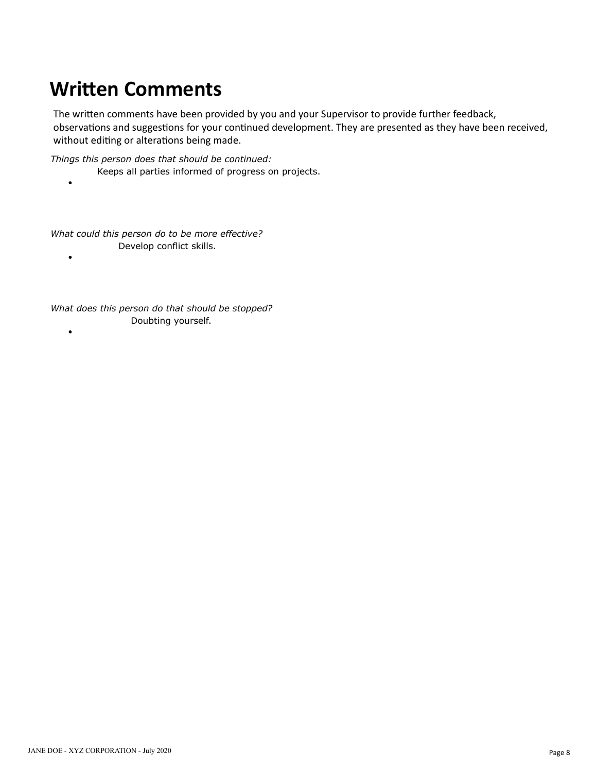## **Written Comments**

The written comments have been provided by you and your Supervisor to provide further feedback, observations and suggestions for your continued development. They are presented as they have been received, without editing or alterations being made.

*Things this person does that should be continued:*

- Keeps all parties informed of progress on projects.
- 

*What could this person do to be more effective?* Develop conflict skills.

 $\bullet$ 

 $\bullet$ 

*What does this person do that should be stopped?* Doubting yourself.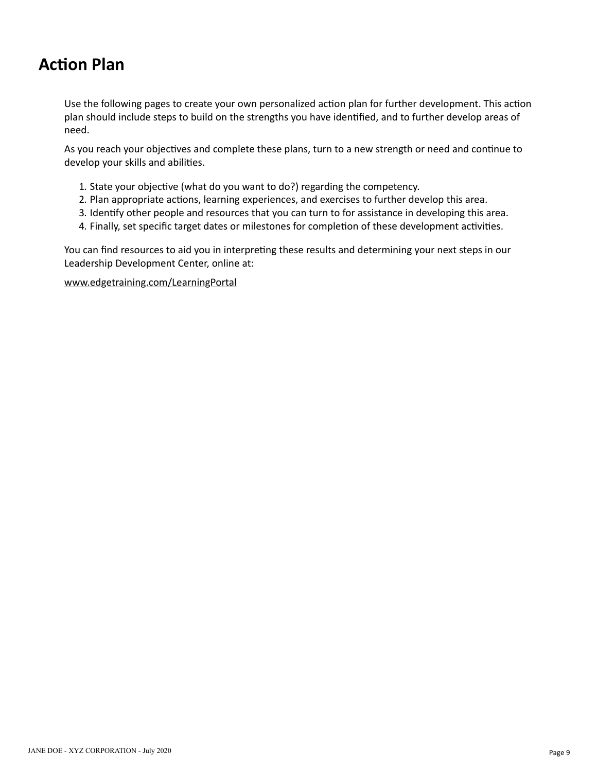### **Action Plan**

Use the following pages to create your own personalized action plan for further development. This action plan should include steps to build on the strengths you have idenfied, and to further develop areas of need.

As you reach your objectives and complete these plans, turn to a new strength or need and continue to develop your skills and abilities.

- 1. State your objective (what do you want to do?) regarding the competency.
- 2. Plan appropriate actions, learning experiences, and exercises to further develop this area.
- 3. Identify other people and resources that you can turn to for assistance in developing this area.
- 4. Finally, set specific target dates or milestones for completion of these development activities.

You can find resources to aid you in interpreting these results and determining your next steps in our Leadership Development Center, online at:

#### www.edgetraining.com/LearningPortal